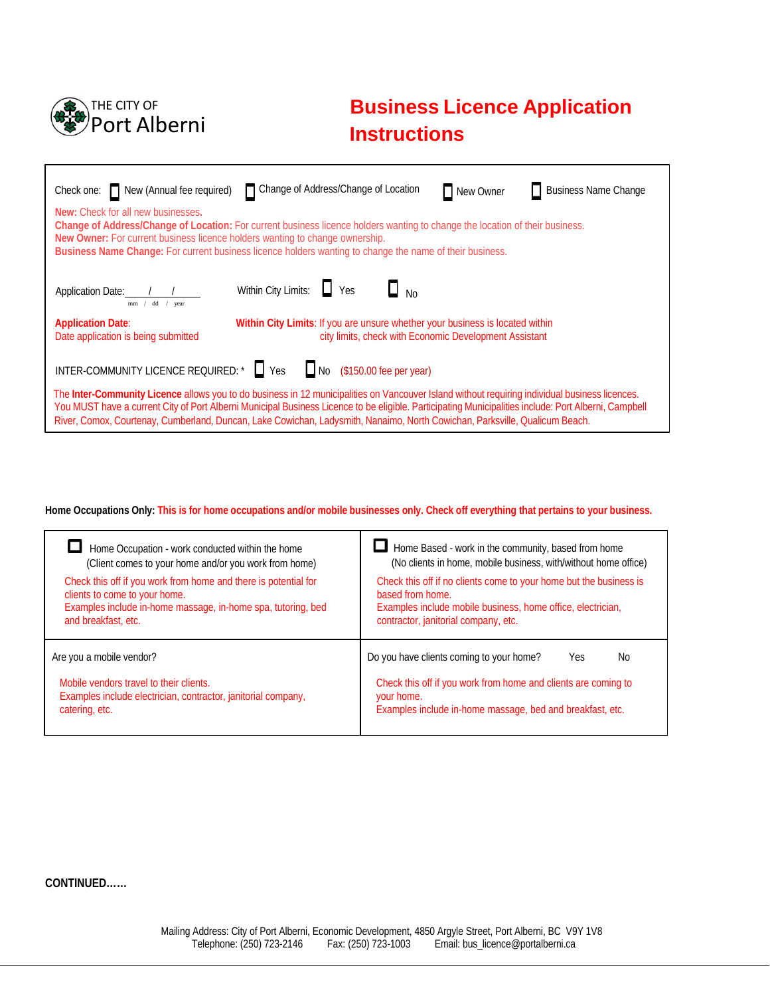

# **Business Licence Application Instructions**

| Change of Address/Change of Location<br>Check one: New (Annual fee required)<br><b>Business Name Change</b><br>New Owner                                                                                                                                                                                                                                                                                                              |  |  |  |  |
|---------------------------------------------------------------------------------------------------------------------------------------------------------------------------------------------------------------------------------------------------------------------------------------------------------------------------------------------------------------------------------------------------------------------------------------|--|--|--|--|
| New: Check for all new businesses.<br>Change of Address/Change of Location: For current business licence holders wanting to change the location of their business.<br>New Owner: For current business licence holders wanting to change ownership.<br>Business Name Change: For current business licence holders wanting to change the name of their business.                                                                        |  |  |  |  |
| Within City Limits: Ves<br>$\Box$ No<br>Application Date: /<br>mm / dd / year                                                                                                                                                                                                                                                                                                                                                         |  |  |  |  |
| Within City Limits: If you are unsure whether your business is located within<br><b>Application Date:</b><br>city limits, check with Economic Development Assistant<br>Date application is being submitted                                                                                                                                                                                                                            |  |  |  |  |
| INTER-COMMUNITY LICENCE REQUIRED: $\bullet$ $\Box$ Yes $\Box$ No (\$150.00 fee per year)                                                                                                                                                                                                                                                                                                                                              |  |  |  |  |
| The Inter-Community Licence allows you to do business in 12 municipalities on Vancouver Island without requiring individual business licences.<br>You MUST have a current City of Port Alberni Municipal Business Licence to be eligible. Participating Municipalities include: Port Alberni, Campbell<br>River, Comox, Courtenay, Cumberland, Duncan, Lake Cowichan, Ladysmith, Nanaimo, North Cowichan, Parksville, Qualicum Beach. |  |  |  |  |

### **Home Occupations Only: This is for home occupations and/or mobile businesses only. Check off everything that pertains to your business.**

| Home Occupation - work conducted within the home                                | Home Based - work in the community, based from home                                                                                       |
|---------------------------------------------------------------------------------|-------------------------------------------------------------------------------------------------------------------------------------------|
| (Client comes to your home and/or you work from home)                           | (No clients in home, mobile business, with/without home office)                                                                           |
| Check this off if you work from home and there is potential for                 | Check this off if no clients come to your home but the business is                                                                        |
| clients to come to your home.                                                   | based from home.                                                                                                                          |
| Examples include in-home massage, in-home spa, tutoring, bed                    | Examples include mobile business, home office, electrician,                                                                               |
| and breakfast, etc.                                                             | contractor, janitorial company, etc.                                                                                                      |
| Are you a mobile vendor?<br>Mobile vendors travel to their clients.             | Do you have clients coming to your home?<br>No.<br><b>Yes</b>                                                                             |
| Examples include electrician, contractor, janitorial company,<br>catering, etc. | Check this off if you work from home and clients are coming to<br>your home.<br>Examples include in-home massage, bed and breakfast, etc. |

### **CONTINUED……**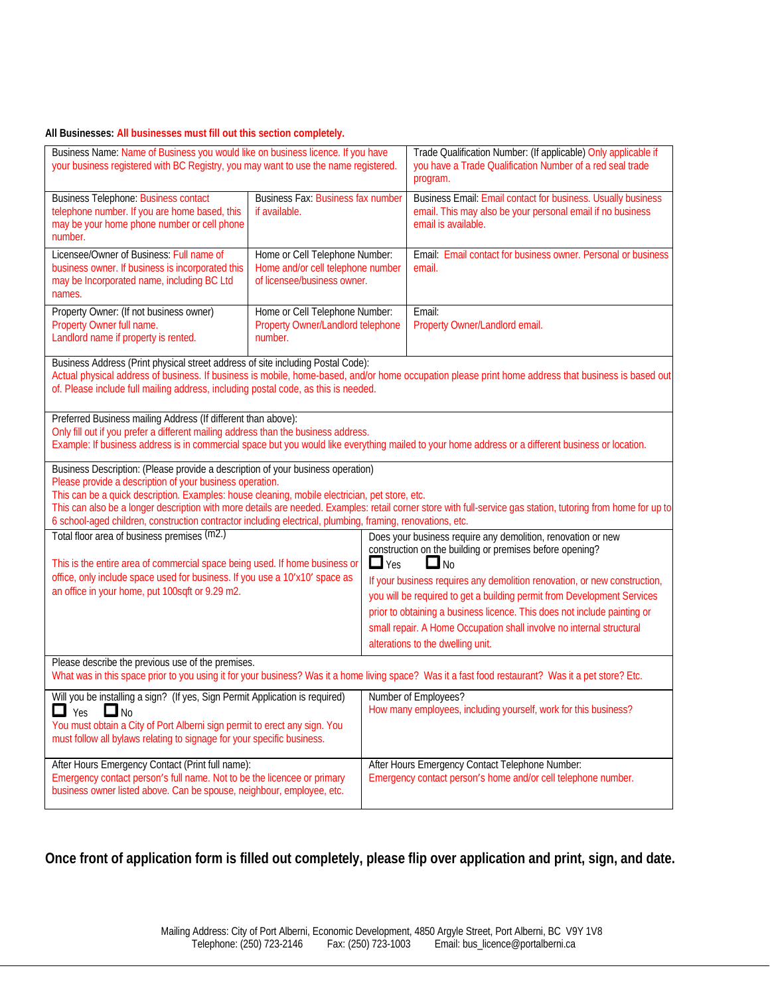### **All Businesses: All businesses must fill out this section completely.**

| Business Name: Name of Business you would like on business licence. If you have<br>your business registered with BC Registry, you may want to use the name registered.                                                                                                                                                                                                                                                                                                                                                       |                                                                                                    | Trade Qualification Number: (If applicable) Only applicable if<br>you have a Trade Qualification Number of a red seal trade<br>program. |                                                                                                                                                                                                                                                                                                                                                                                                                                                                                        |  |
|------------------------------------------------------------------------------------------------------------------------------------------------------------------------------------------------------------------------------------------------------------------------------------------------------------------------------------------------------------------------------------------------------------------------------------------------------------------------------------------------------------------------------|----------------------------------------------------------------------------------------------------|-----------------------------------------------------------------------------------------------------------------------------------------|----------------------------------------------------------------------------------------------------------------------------------------------------------------------------------------------------------------------------------------------------------------------------------------------------------------------------------------------------------------------------------------------------------------------------------------------------------------------------------------|--|
| <b>Business Telephone: Business contact</b><br>telephone number. If you are home based, this<br>may be your home phone number or cell phone<br>number.                                                                                                                                                                                                                                                                                                                                                                       | <b>Business Fax: Business fax number</b><br>if available.                                          |                                                                                                                                         | Business Email: Email contact for business. Usually business<br>email. This may also be your personal email if no business<br>email is available.                                                                                                                                                                                                                                                                                                                                      |  |
| Licensee/Owner of Business: Full name of<br>business owner. If business is incorporated this<br>may be Incorporated name, including BC Ltd<br>names.                                                                                                                                                                                                                                                                                                                                                                         | Home or Cell Telephone Number:<br>Home and/or cell telephone number<br>of licensee/business owner. |                                                                                                                                         | Email: Email contact for business owner. Personal or business<br>email.                                                                                                                                                                                                                                                                                                                                                                                                                |  |
| Property Owner: (If not business owner)<br>Property Owner full name.<br>Landlord name if property is rented.                                                                                                                                                                                                                                                                                                                                                                                                                 | Home or Cell Telephone Number:<br>Property Owner/Landlord telephone<br>number.                     |                                                                                                                                         | Email:<br>Property Owner/Landlord email.                                                                                                                                                                                                                                                                                                                                                                                                                                               |  |
| Business Address (Print physical street address of site including Postal Code):<br>Actual physical address of business. If business is mobile, home-based, and/or home occupation please print home address that business is based out<br>of. Please include full mailing address, including postal code, as this is needed.                                                                                                                                                                                                 |                                                                                                    |                                                                                                                                         |                                                                                                                                                                                                                                                                                                                                                                                                                                                                                        |  |
| Preferred Business mailing Address (If different than above):<br>Only fill out if you prefer a different mailing address than the business address.<br>Example: If business address is in commercial space but you would like everything mailed to your home address or a different business or location.                                                                                                                                                                                                                    |                                                                                                    |                                                                                                                                         |                                                                                                                                                                                                                                                                                                                                                                                                                                                                                        |  |
| Business Description: (Please provide a description of your business operation)<br>Please provide a description of your business operation.<br>This can be a quick description. Examples: house cleaning, mobile electrician, pet store, etc.<br>This can also be a longer description with more details are needed. Examples: retail corner store with full-service gas station, tutoring from home for up to<br>6 school-aged children, construction contractor including electrical, plumbing, framing, renovations, etc. |                                                                                                    |                                                                                                                                         |                                                                                                                                                                                                                                                                                                                                                                                                                                                                                        |  |
| Total floor area of business premises (m2.)<br>$\Box$ Yes<br>This is the entire area of commercial space being used. If home business or<br>office, only include space used for business. If you use a 10'x10' space as<br>an office in your home, put 100sqft or 9.29 m2.                                                                                                                                                                                                                                                   |                                                                                                    |                                                                                                                                         | Does your business require any demolition, renovation or new<br>construction on the building or premises before opening?<br>$\Box$ No<br>If your business requires any demolition renovation, or new construction,<br>you will be required to get a building permit from Development Services<br>prior to obtaining a business licence. This does not include painting or<br>small repair. A Home Occupation shall involve no internal structural<br>alterations to the dwelling unit. |  |
| Please describe the previous use of the premises.<br>What was in this space prior to you using it for your business? Was it a home living space? Was it a fast food restaurant? Was it a pet store? Etc.                                                                                                                                                                                                                                                                                                                     |                                                                                                    |                                                                                                                                         |                                                                                                                                                                                                                                                                                                                                                                                                                                                                                        |  |
| Will you be installing a sign? (If yes, Sign Permit Application is required)<br>$\Box$ Yes $\Box$ No<br>You must obtain a City of Port Alberni sign permit to erect any sign. You<br>must follow all bylaws relating to signage for your specific business.                                                                                                                                                                                                                                                                  |                                                                                                    |                                                                                                                                         | Number of Employees?<br>How many employees, including yourself, work for this business?                                                                                                                                                                                                                                                                                                                                                                                                |  |
| After Hours Emergency Contact (Print full name):<br>Emergency contact person's full name. Not to be the licencee or primary<br>business owner listed above. Can be spouse, neighbour, employee, etc.                                                                                                                                                                                                                                                                                                                         |                                                                                                    |                                                                                                                                         | After Hours Emergency Contact Telephone Number:<br>Emergency contact person's home and/or cell telephone number.                                                                                                                                                                                                                                                                                                                                                                       |  |

**Once front of application form is filled out completely, please flip over application and print, sign, and date.**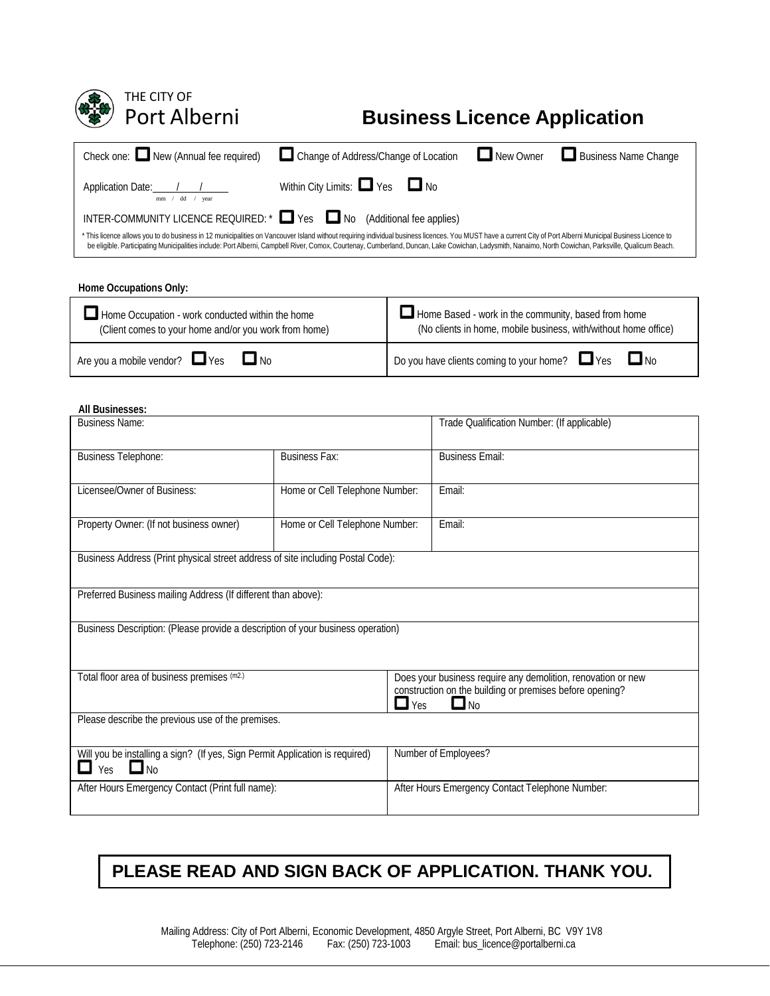| THE CITY OF<br>Port Alberni                                                                                                                                                                                                                                                                                                                                                                                                                                                                     |                                      |                                                                                                                        |                                             | <b>Business Licence Application</b> |  |  |
|-------------------------------------------------------------------------------------------------------------------------------------------------------------------------------------------------------------------------------------------------------------------------------------------------------------------------------------------------------------------------------------------------------------------------------------------------------------------------------------------------|--------------------------------------|------------------------------------------------------------------------------------------------------------------------|---------------------------------------------|-------------------------------------|--|--|
| Check one: New (Annual fee required)                                                                                                                                                                                                                                                                                                                                                                                                                                                            | Change of Address/Change of Location |                                                                                                                        | $\Box$ New Owner                            | Business Name Change                |  |  |
| Application Date: $\frac{1}{\text{mm} + \text{dd} + \text{year}}$                                                                                                                                                                                                                                                                                                                                                                                                                               |                                      | Within City Limits: Yes No                                                                                             |                                             |                                     |  |  |
| Yes No (Additional fee applies)<br>INTER-COMMUNITY LICENCE REQUIRED: *<br>* This licence allows you to do business in 12 municipalities on Vancouver Island without requiring individual business licences. You MUST have a current City of Port Alberni Municipal Business Licence to<br>be eligible. Participating Municipalities include: Port Alberni, Campbell River, Comox, Courtenay, Cumberland, Duncan, Lake Cowichan, Ladysmith, Nanaimo, North Cowichan, Parksville, Qualicum Beach. |                                      |                                                                                                                        |                                             |                                     |  |  |
| Home Occupations Only:                                                                                                                                                                                                                                                                                                                                                                                                                                                                          |                                      |                                                                                                                        |                                             |                                     |  |  |
| Home Occupation - work conducted within the home<br>(Client comes to your home and/or you work from home)                                                                                                                                                                                                                                                                                                                                                                                       |                                      | Home Based - work in the community, based from home<br>(No clients in home, mobile business, with/without home office) |                                             |                                     |  |  |
| $\Box$ No<br>Are you a mobile vendor? PYes                                                                                                                                                                                                                                                                                                                                                                                                                                                      |                                      | $\square$ No<br>$\Box$ Yes<br>Do you have clients coming to your home?                                                 |                                             |                                     |  |  |
| <b>All Businesses:</b>                                                                                                                                                                                                                                                                                                                                                                                                                                                                          |                                      |                                                                                                                        |                                             |                                     |  |  |
| <b>Business Name:</b>                                                                                                                                                                                                                                                                                                                                                                                                                                                                           |                                      |                                                                                                                        | Trade Qualification Number: (If applicable) |                                     |  |  |
| <b>Business Telephone:</b>                                                                                                                                                                                                                                                                                                                                                                                                                                                                      | <b>Business Fax:</b>                 |                                                                                                                        | <b>Business Email:</b>                      |                                     |  |  |
| Licensee/Owner of Business:                                                                                                                                                                                                                                                                                                                                                                                                                                                                     | Home or Cell Telephone Number:       | Email:                                                                                                                 |                                             |                                     |  |  |
| Property Owner: (If not business owner)                                                                                                                                                                                                                                                                                                                                                                                                                                                         | Home or Cell Telephone Number:       | Email:                                                                                                                 |                                             |                                     |  |  |
| Business Address (Print physical street address of site including Postal Code):                                                                                                                                                                                                                                                                                                                                                                                                                 |                                      |                                                                                                                        |                                             |                                     |  |  |
| Preferred Business mailing Address (If different than above):                                                                                                                                                                                                                                                                                                                                                                                                                                   |                                      |                                                                                                                        |                                             |                                     |  |  |

Business Description: (Please provide a description of your business operation)

| Total floor area of business premises (m2.)                                  | Does your business require any demolition, renovation or new |
|------------------------------------------------------------------------------|--------------------------------------------------------------|
|                                                                              | construction on the building or premises before opening?     |
|                                                                              | $\Box$ Yes<br>$\Box$ No                                      |
| Please describe the previous use of the premises.                            |                                                              |
|                                                                              |                                                              |
| Will you be installing a sign? (If yes, Sign Permit Application is required) | Number of Employees?                                         |
| $\Box$ No<br>Yes                                                             |                                                              |
| After Hours Emergency Contact (Print full name):                             | After Hours Emergency Contact Telephone Number:              |
|                                                                              |                                                              |
|                                                                              |                                                              |

## **PLEASE READ AND SIGN BACK OF APPLICATION. THANK YOU.**